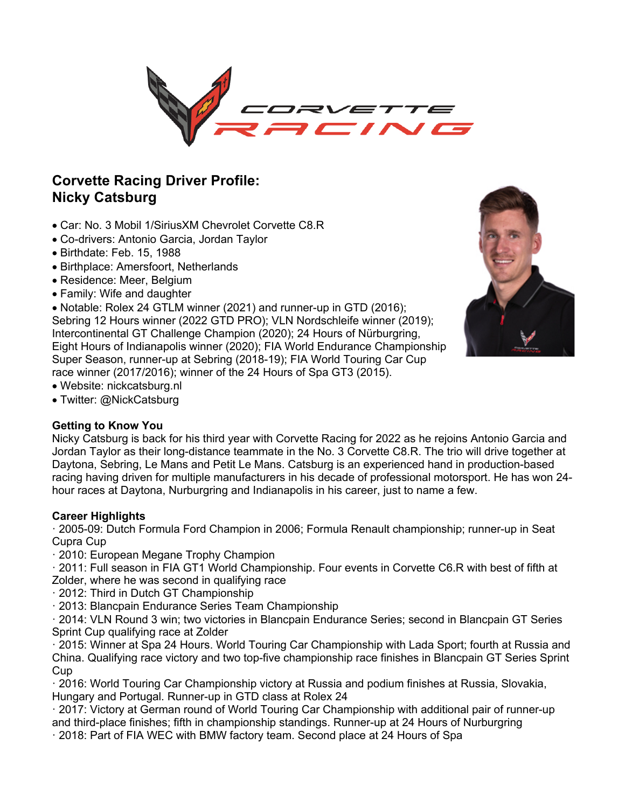

# **Corvette Racing Driver Profile: Nicky Catsburg**

- Car: No. 3 Mobil 1/SiriusXM Chevrolet Corvette C8.R
- Co-drivers: Antonio Garcia, Jordan Taylor
- Birthdate: Feb. 15, 1988
- Birthplace: Amersfoort, Netherlands
- Residence: Meer, Belgium
- Family: Wife and daughter

• Notable: Rolex 24 GTLM winner (2021) and runner-up in GTD (2016); Sebring 12 Hours winner (2022 GTD PRO); VLN Nordschleife winner (2019); Intercontinental GT Challenge Champion (2020); 24 Hours of Nürburgring, Eight Hours of Indianapolis winner (2020); FIA World Endurance Championship Super Season, runner-up at Sebring (2018-19); FIA World Touring Car Cup race winner (2017/2016); winner of the 24 Hours of Spa GT3 (2015).



- Website: nickcatsburg.nl
- Twitter: @NickCatsburg

# **Getting to Know You**

Nicky Catsburg is back for his third year with Corvette Racing for 2022 as he rejoins Antonio Garcia and Jordan Taylor as their long-distance teammate in the No. 3 Corvette C8.R. The trio will drive together at Daytona, Sebring, Le Mans and Petit Le Mans. Catsburg is an experienced hand in production-based racing having driven for multiple manufacturers in his decade of professional motorsport. He has won 24 hour races at Daytona, Nurburgring and Indianapolis in his career, just to name a few.

# **Career Highlights**

· 2005-09: Dutch Formula Ford Champion in 2006; Formula Renault championship; runner-up in Seat Cupra Cup

· 2010: European Megane Trophy Champion

· 2011: Full season in FIA GT1 World Championship. Four events in Corvette C6.R with best of fifth at Zolder, where he was second in qualifying race

- · 2012: Third in Dutch GT Championship
- · 2013: Blancpain Endurance Series Team Championship

· 2014: VLN Round 3 win; two victories in Blancpain Endurance Series; second in Blancpain GT Series Sprint Cup qualifying race at Zolder

· 2015: Winner at Spa 24 Hours. World Touring Car Championship with Lada Sport; fourth at Russia and China. Qualifying race victory and two top-five championship race finishes in Blancpain GT Series Sprint Cup

· 2016: World Touring Car Championship victory at Russia and podium finishes at Russia, Slovakia, Hungary and Portugal. Runner-up in GTD class at Rolex 24

· 2017: Victory at German round of World Touring Car Championship with additional pair of runner-up and third-place finishes; fifth in championship standings. Runner-up at 24 Hours of Nurburgring · 2018: Part of FIA WEC with BMW factory team. Second place at 24 Hours of Spa